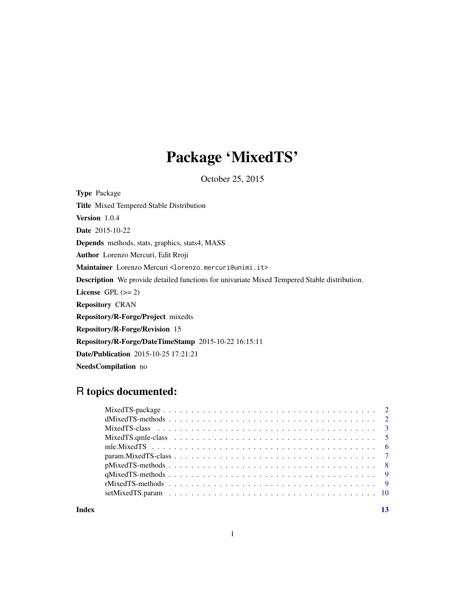## Package 'MixedTS'

October 25, 2015

Type Package Title Mixed Tempered Stable Distribution Version 1.0.4 Date 2015-10-22 Depends methods, stats, graphics, stats4, MASS Author Lorenzo Mercuri, Edit Rroji Maintainer Lorenzo Mercuri <lorenzo.mercuri@unimi.it> Description We provide detailed functions for univariate Mixed Tempered Stable distribution. License GPL  $(>= 2)$ Repository CRAN Repository/R-Forge/Project mixedts Repository/R-Forge/Revision 15 Repository/R-Forge/DateTimeStamp 2015-10-22 16:15:11 Date/Publication 2015-10-25 17:21:21 NeedsCompilation no

### R topics documented:

**Index** [13](#page-12-0)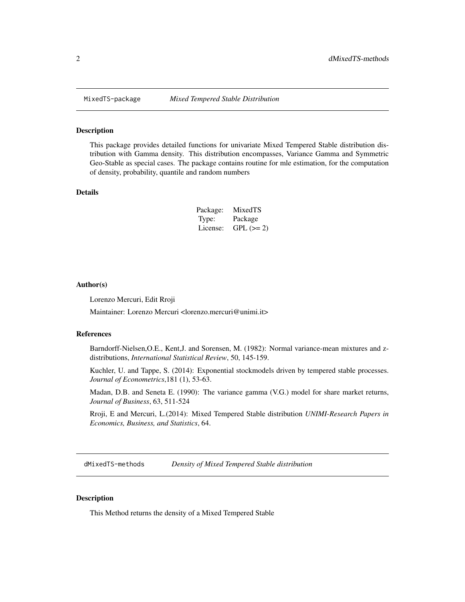<span id="page-1-0"></span>

#### Description

This package provides detailed functions for univariate Mixed Tempered Stable distribution distribution with Gamma density. This distribution encompasses, Variance Gamma and Symmetric Geo-Stable as special cases. The package contains routine for mle estimation, for the computation of density, probability, quantile and random numbers

#### Details

| Package: | MixedTS    |
|----------|------------|
| Type:    | Package    |
| License: | $GPL (=2)$ |

#### Author(s)

Lorenzo Mercuri, Edit Rroji

Maintainer: Lorenzo Mercuri <lorenzo.mercuri@unimi.it>

#### References

Barndorff-Nielsen,O.E., Kent,J. and Sorensen, M. (1982): Normal variance-mean mixtures and zdistributions, *International Statistical Review*, 50, 145-159.

Kuchler, U. and Tappe, S. (2014): Exponential stockmodels driven by tempered stable processes. *Journal of Econometrics*,181 (1), 53-63.

Madan, D.B. and Seneta E. (1990): The variance gamma (V.G.) model for share market returns, *Journal of Business*, 63, 511-524

Rroji, E and Mercuri, L.(2014): Mixed Tempered Stable distribution *UNIMI-Research Papers in Economics, Business, and Statistics*, 64.

<span id="page-1-1"></span>dMixedTS-methods *Density of Mixed Tempered Stable distribution*

#### Description

This Method returns the density of a Mixed Tempered Stable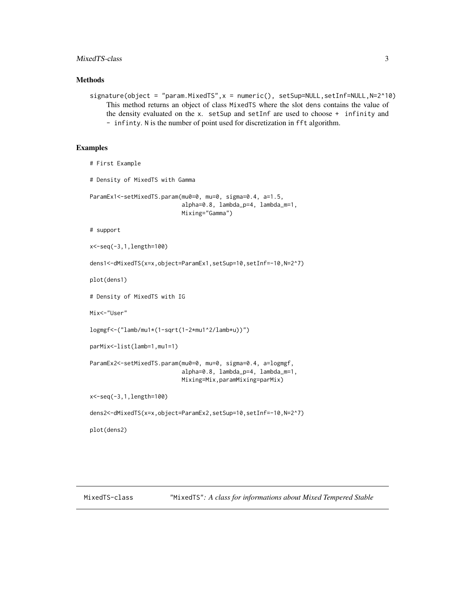#### <span id="page-2-0"></span>MixedTS-class 3

#### Methods

 $signature(object = "param.MixedTS", x = numeric(), setSup=NULL,setInf=NULL,N=2^10)$ This method returns an object of class MixedTS where the slot dens contains the value of the density evaluated on the x. setSup and setInf are used to choose + infinity and - infinty. N is the number of point used for discretization in fft algorithm.

#### Examples

```
# First Example
```
# Density of MixedTS with Gamma

```
ParamEx1<-setMixedTS.param(mu0=0, mu=0, sigma=0.4, a=1.5,
                           alpha=0.8, lambda_p=4, lambda_m=1,
                           Mixing="Gamma")
```
# support

```
x<-seq(-3,1,length=100)
```

```
dens1<-dMixedTS(x=x,object=ParamEx1,setSup=10,setInf=-10,N=2^7)
```
plot(dens1)

# Density of MixedTS with IG

Mix<-"User"

```
logmgf<-("lamb/mu1*(1-sqrt(1-2*mu1^2/lamb*u))")
```

```
parMix<-list(lamb=1,mu1=1)
```

```
ParamEx2<-setMixedTS.param(mu0=0, mu=0, sigma=0.4, a=logmgf,
                           alpha=0.8, lambda_p=4, lambda_m=1,
                           Mixing=Mix,paramMixing=parMix)
```
x<-seq(-3,1,length=100)

```
dens2<-dMixedTS(x=x,object=ParamEx2,setSup=10,setInf=-10,N=2^7)
```
plot(dens2)

<span id="page-2-1"></span>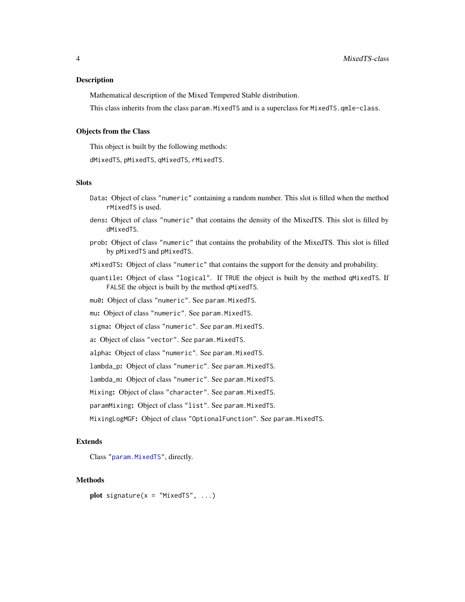#### <span id="page-3-0"></span>Description

Mathematical description of the Mixed Tempered Stable distribution.

This class inherits from the class param.MixedTS and is a superclass for MixedTS.qmle-class.

#### Objects from the Class

This object is built by the following methods:

dMixedTS, pMixedTS, qMixedTS, rMixedTS.

#### **Slots**

- Data: Object of class "numeric" containing a random number. This slot is filled when the method rMixedTS is used.
- dens: Object of class "numeric" that contains the density of the MixedTS. This slot is filled by dMixedTS.
- prob: Object of class "numeric" that contains the probability of the MixedTS. This slot is filled by pMixedTS and pMixedTS.
- xMixedTS: Object of class "numeric" that contains the support for the density and probability.
- quantile: Object of class "logical". If TRUE the object is built by the method qMixedTS. If FALSE the object is built by the method qMixedTS.

mu0: Object of class "numeric". See param.MixedTS.

mu: Object of class "numeric". See param.MixedTS.

sigma: Object of class "numeric". See param.MixedTS.

a: Object of class "vector". See param.MixedTS.

alpha: Object of class "numeric". See param.MixedTS.

lambda\_p: Object of class "numeric". See param.MixedTS.

lambda\_m: Object of class "numeric". See param.MixedTS.

Mixing: Object of class "character". See param.MixedTS.

paramMixing: Object of class "list". See param.MixedTS.

MixingLogMGF: Object of class "OptionalFunction". See param.MixedTS.

#### Extends

Class ["param.MixedTS"](#page-6-1), directly.

#### Methods

plot signature( $x = "MixedTS", ...)$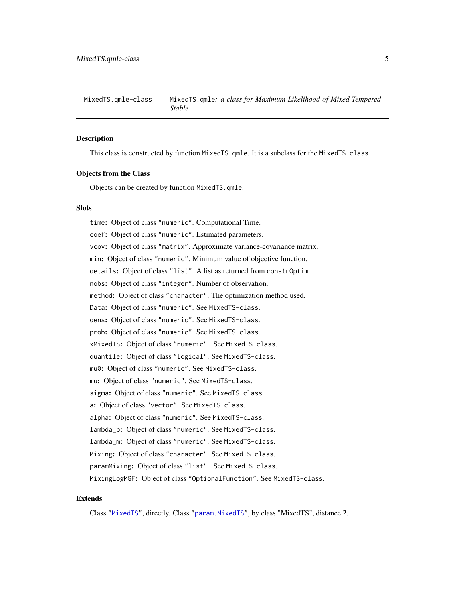<span id="page-4-0"></span>MixedTS.qmle-class MixedTS.qmle*: a class for Maximum Likelihood of Mixed Tempered Stable*

#### **Description**

This class is constructed by function MixedTS.qmle. It is a subclass for the MixedTS-class

#### Objects from the Class

Objects can be created by function MixedTS.qmle.

#### **Slots**

time: Object of class "numeric". Computational Time. coef: Object of class "numeric". Estimated parameters. vcov: Object of class "matrix". Approximate variance-covariance matrix. min: Object of class "numeric". Minimum value of objective function. details: Object of class "list". A list as returned from constrOptim nobs: Object of class "integer". Number of observation. method: Object of class "character". The optimization method used. Data: Object of class "numeric". See MixedTS-class. dens: Object of class "numeric". See MixedTS-class. prob: Object of class "numeric". See MixedTS-class. xMixedTS: Object of class "numeric" . See MixedTS-class. quantile: Object of class "logical". See MixedTS-class. mu0: Object of class "numeric". See MixedTS-class. mu: Object of class "numeric". See MixedTS-class. sigma: Object of class "numeric". See MixedTS-class. a: Object of class "vector". See MixedTS-class. alpha: Object of class "numeric". See MixedTS-class. lambda\_p: Object of class "numeric". See MixedTS-class. lambda\_m: Object of class "numeric". See MixedTS-class. Mixing: Object of class "character". See MixedTS-class. paramMixing: Object of class "list" . See MixedTS-class. MixingLogMGF: Object of class "OptionalFunction". See MixedTS-class.

#### Extends

Class ["MixedTS"](#page-2-1), directly. Class ["param.MixedTS"](#page-6-1), by class "MixedTS", distance 2.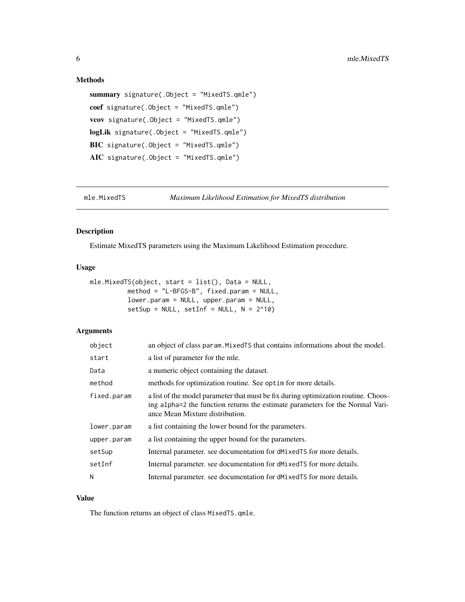#### <span id="page-5-0"></span>Methods

```
summary signature(.Object = "MixedTS.qmle")
coef signature(.Object = "MixedTS.qmle")
vcov signature(.Object = "MixedTS.qmle")
logLik signature(.Object = "MixedTS.qmle")
BIC signature(.Object = "MixedTS.qmle")
AIC signature(.Object = "MixedTS.qmle")
```
mle.MixedTS *Maximum Likelihood Estimation for MixedTS distribution*

### Description

Estimate MixedTS parameters using the Maximum Likelihood Estimation procedure.

### Usage

```
mle.MixedTS(object, start = list(), Data = NULL,
          method = "L-BFGS-B", fixed.param = NULL,
          lower.param = NULL, upper.param = NULL,
          setsup = NULL, setInf = NULL, N = 2^10)
```
#### Arguments

| object      | an object of class param. Mixed TS that contains informations about the model.                                                                                                                         |
|-------------|--------------------------------------------------------------------------------------------------------------------------------------------------------------------------------------------------------|
| start       | a list of parameter for the mle.                                                                                                                                                                       |
| Data        | a numeric object containing the dataset.                                                                                                                                                               |
| method      | methods for optimization routine. See optim for more details.                                                                                                                                          |
| fixed.param | a list of the model parameter that must be fix during optimization routine. Choos-<br>ing alpha=2 the function returns the estimate parameters for the Normal Vari-<br>ance Mean Mixture distribution. |
| lower.param | a list containing the lower bound for the parameters.                                                                                                                                                  |
| upper.param | a list containing the upper bound for the parameters.                                                                                                                                                  |
| setSup      | Internal parameter, see documentation for dMixedTS for more details.                                                                                                                                   |
| setInf      | Internal parameter, see documentation for dMixedTS for more details.                                                                                                                                   |
| N           | Internal parameter, see documentation for dMixedTS for more details.                                                                                                                                   |

#### Value

The function returns an object of class MixedTS.qmle.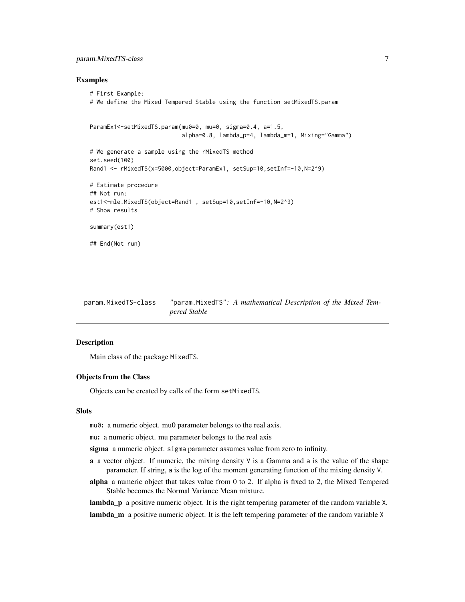#### <span id="page-6-0"></span>param.MixedTS-class 7

#### Examples

```
# First Example:
# We define the Mixed Tempered Stable using the function setMixedTS.param
ParamEx1<-setMixedTS.param(mu0=0, mu=0, sigma=0.4, a=1.5,
                           alpha=0.8, lambda_p=4, lambda_m=1, Mixing="Gamma")
# We generate a sample using the rMixedTS method
set.seed(100)
Rand1 <- rMixedTS(x=5000,object=ParamEx1, setSup=10,setInf=-10,N=2^9)
# Estimate procedure
## Not run:
est1<-mle.MixedTS(object=Rand1 , setSup=10,setInf=-10,N=2^9)
# Show results
summary(est1)
## End(Not run)
```
<span id="page-6-1"></span>param.MixedTS-class "param.MixedTS"*: A mathematical Description of the Mixed Tempered Stable*

#### <span id="page-6-2"></span>**Description**

Main class of the package MixedTS.

#### Objects from the Class

Objects can be created by calls of the form setMixedTS.

#### **Slots**

mu0: a numeric object. mu0 parameter belongs to the real axis.

mu: a numeric object. mu parameter belongs to the real axis

sigma a numeric object. sigma parameter assumes value from zero to infinity.

- **a** a vector object. If numeric, the mixing density  $\vee$  is a Gamma and a is the value of the shape parameter. If string, a is the log of the moment generating function of the mixing density V.
- alpha a numeric object that takes value from 0 to 2. If alpha is fixed to 2, the Mixed Tempered Stable becomes the Normal Variance Mean mixture.

lambda<sub>p</sub> a positive numeric object. It is the right tempering parameter of the random variable X. lambda\_m a positive numeric object. It is the left tempering parameter of the random variable X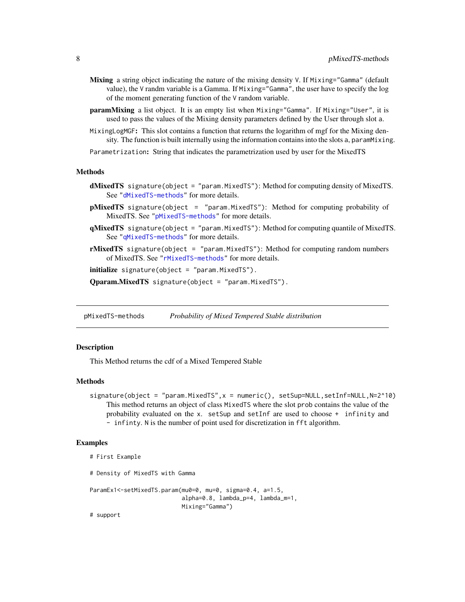- <span id="page-7-0"></span>Mixing a string object indicating the nature of the mixing density V. If Mixing="Gamma" (default value), the V randm variable is a Gamma. If Mixing="Gamma", the user have to specify the log of the moment generating function of the V random variable.
- **paramMixing** a list object. It is an empty list when Mixing="Gamma". If Mixing="User", it is used to pass the values of the Mixing density parameters defined by the User through slot a.
- MixingLogMGF: This slot contains a function that returns the logarithm of mgf for the Mixing density. The function is built internally using the information contains into the slots a, paramMixing.

Parametrization: String that indicates the parametrization used by user for the MixedTS

#### Methods

- dMixedTS signature(object = "param.MixedTS"): Method for computing density of MixedTS. See ["dMixedTS-methods"](#page-1-1) for more details.
- pMixedTS signature(object = "param.MixedTS"): Method for computing probability of MixedTS. See ["pMixedTS-methods"](#page-7-1) for more details.
- qMixedTS signature(object = "param.MixedTS"): Method for computing quantile of MixedTS. See ["qMixedTS-methods"](#page-8-1) for more details.
- rMixedTS signature(object = "param.MixedTS"): Method for computing random numbers of MixedTS. See ["rMixedTS-methods"](#page-8-2) for more details.

initialize signature(object = "param.MixedTS").

Qparam.MixedTS signature(object = "param.MixedTS").

<span id="page-7-1"></span>pMixedTS-methods *Probability of Mixed Tempered Stable distribution*

#### Description

This Method returns the cdf of a Mixed Tempered Stable

#### Methods

signature(object = "param.MixedTS",x = numeric(), setSup=NULL,setInf=NULL,N=2^10) This method returns an object of class MixedTS where the slot prob contains the value of the probability evaluated on the x. setSup and setInf are used to choose + infinity and - infinty. N is the number of point used for discretization in fft algorithm.

#### Examples

```
# First Example
```
# Density of MixedTS with Gamma

```
ParamEx1<-setMixedTS.param(mu0=0, mu=0, sigma=0.4, a=1.5,
                           alpha=0.8, lambda_p=4, lambda_m=1,
                           Mixing="Gamma")
```
# support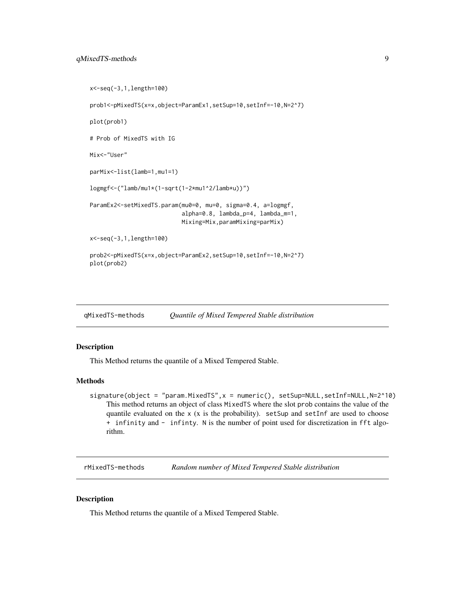```
x<-seq(-3,1,length=100)
prob1<-pMixedTS(x=x,object=ParamEx1,setSup=10,setInf=-10,N=2^7)
plot(prob1)
# Prob of MixedTS with IG
Mix<-"User"
parMix<-list(lamb=1,mu1=1)
logmgf<-("lamb/mu1*(1-sqrt(1-2*mu1^2/lamb*u))")
ParamEx2<-setMixedTS.param(mu0=0, mu=0, sigma=0.4, a=logmgf,
                           alpha=0.8, lambda_p=4, lambda_m=1,
                           Mixing=Mix,paramMixing=parMix)
x<-seq(-3,1,length=100)
prob2<-pMixedTS(x=x,object=ParamEx2,setSup=10,setInf=-10,N=2^7)
plot(prob2)
```
<span id="page-8-1"></span>

| gMixedTS-methods | Quantile of Mixed Tempered Stable distribution |  |
|------------------|------------------------------------------------|--|
|------------------|------------------------------------------------|--|

#### Description

This Method returns the quantile of a Mixed Tempered Stable.

#### Methods

signature(object = "param.MixedTS",x = numeric(), setSup=NULL,setInf=NULL,N=2^10) This method returns an object of class MixedTS where the slot prob contains the value of the quantile evaluated on the x (x is the probability). setSup and setInf are used to choose + infinity and - infinty. N is the number of point used for discretization in fft algorithm.

<span id="page-8-2"></span>rMixedTS-methods *Random number of Mixed Tempered Stable distribution*

#### Description

This Method returns the quantile of a Mixed Tempered Stable.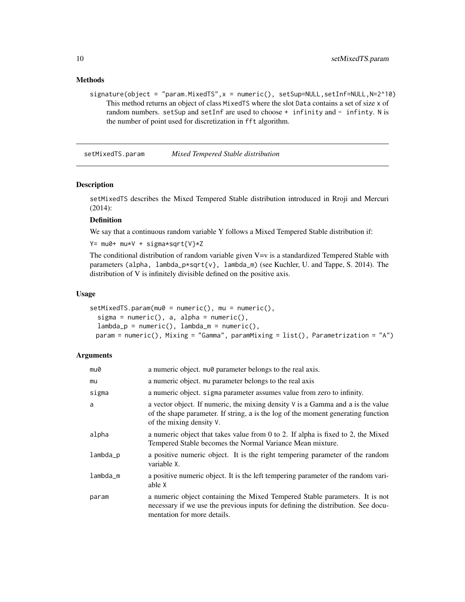#### <span id="page-9-0"></span>Methods

signature(object = "param.MixedTS",x = numeric(), setSup=NULL,setInf=NULL,N=2^10) This method returns an object of class MixedTS where the slot Data contains a set of size x of random numbers. setSup and setInf are used to choose + infinity and - infinty. N is the number of point used for discretization in fft algorithm.

setMixedTS.param *Mixed Tempered Stable distribution*

#### Description

setMixedTS describes the Mixed Tempered Stable distribution introduced in Rroji and Mercuri (2014):

#### Definition

We say that a continuous random variable Y follows a Mixed Tempered Stable distribution if:

Y= mu0+ mu\*V + sigma\*sqrt{V}\*Z

The conditional distribution of random variable given  $V=v$  is a standardized Tempered Stable with parameters (alpha, lambda\_p\*sqrt{v}, lambda\_m) (see Kuchler, U. and Tappe, S. 2014). The distribution of V is infinitely divisible defined on the positive axis.

#### Usage

```
setMixedTS.param(mu0 = numeric(), mu = numeric(),sigma = numeric(), a, alpha = numeric(),lambda_p = numeric(), lambda_m = numeric(),param = numeric(), Mixing = "Gamma", paramMixing = list(), Parametrization = "A")
```
#### **Arguments**

| mu0        | a numeric object. mu $\theta$ parameter belongs to the real axis.                                                                                                                                  |
|------------|----------------------------------------------------------------------------------------------------------------------------------------------------------------------------------------------------|
| mu         | a numeric object. mu parameter belongs to the real axis                                                                                                                                            |
| sigma      | a numeric object. sigma parameter assumes value from zero to infinity.                                                                                                                             |
| a          | a vector object. If numeric, the mixing density $V$ is a Gamma and a is the value<br>of the shape parameter. If string, a is the log of the moment generating function<br>of the mixing density V. |
| alpha      | a numeric object that takes value from 0 to 2. If alpha is fixed to 2, the Mixed<br>Tempered Stable becomes the Normal Variance Mean mixture.                                                      |
| $lambda_p$ | a positive numeric object. It is the right tempering parameter of the random<br>variable X.                                                                                                        |
| $lambda_m$ | a positive numeric object. It is the left tempering parameter of the random vari-<br>able X                                                                                                        |
| param      | a numeric object containing the Mixed Tempered Stable parameters. It is not<br>necessary if we use the previous inputs for defining the distribution. See docu-<br>mentation for more details.     |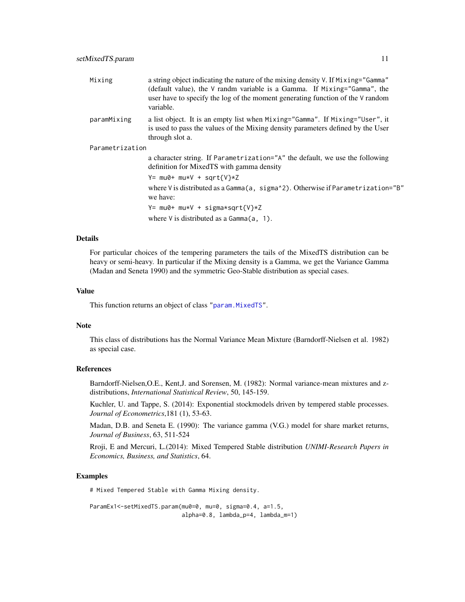<span id="page-10-0"></span>

| Mixing          | a string object indicating the nature of the mixing density V. If Mixing="Gamma"<br>(default value), the $\vee$ randm variable is a Gamma. If Mixing="Gamma", the<br>user have to specify the log of the moment generating function of the V random<br>variable. |
|-----------------|------------------------------------------------------------------------------------------------------------------------------------------------------------------------------------------------------------------------------------------------------------------|
| paramMixing     | a list object. It is an empty list when Mixing="Gamma". If Mixing="User", it<br>is used to pass the values of the Mixing density parameters defined by the User<br>through slot a.                                                                               |
| Parametrization |                                                                                                                                                                                                                                                                  |
|                 | a character string. If Parametrization="A" the default, we use the following<br>definition for MixedTS with gamma density                                                                                                                                        |
|                 | $Y = mu0 + mu*V + sqrt{V}*Z$                                                                                                                                                                                                                                     |
|                 | where V is distributed as a Gamma(a, sigma^2). Otherwise if Parametrization="B"<br>we have:                                                                                                                                                                      |
|                 | $Y = mu0 + mu*V + sigma*sqrt{V}*Z$                                                                                                                                                                                                                               |
|                 | where $V$ is distributed as a Gamma $(a, 1)$ .                                                                                                                                                                                                                   |

#### Details

For particular choices of the tempering parameters the tails of the MixedTS distribution can be heavy or semi-heavy. In particular if the Mixing density is a Gamma, we get the Variance Gamma (Madan and Seneta 1990) and the symmetric Geo-Stable distribution as special cases.

#### Value

This function returns an object of class ["param.MixedTS"](#page-6-2).

#### Note

This class of distributions has the Normal Variance Mean Mixture (Barndorff-Nielsen et al. 1982) as special case.

#### References

Barndorff-Nielsen,O.E., Kent,J. and Sorensen, M. (1982): Normal variance-mean mixtures and zdistributions, *International Statistical Review*, 50, 145-159.

Kuchler, U. and Tappe, S. (2014): Exponential stockmodels driven by tempered stable processes. *Journal of Econometrics*,181 (1), 53-63.

Madan, D.B. and Seneta E. (1990): The variance gamma (V.G.) model for share market returns, *Journal of Business*, 63, 511-524

Rroji, E and Mercuri, L.(2014): Mixed Tempered Stable distribution *UNIMI-Research Papers in Economics, Business, and Statistics*, 64.

#### Examples

# Mixed Tempered Stable with Gamma Mixing density.

```
ParamEx1<-setMixedTS.param(mu0=0, mu=0, sigma=0.4, a=1.5,
                          alpha=0.8, lambda_p=4, lambda_m=1)
```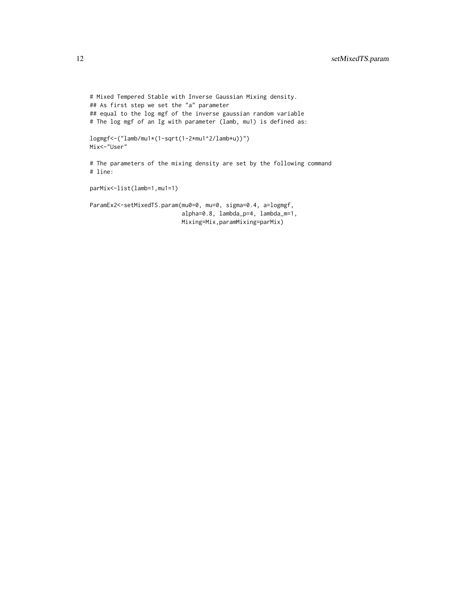# Mixed Tempered Stable with Inverse Gaussian Mixing density. ## As first step we set the "a" parameter ## equal to the log mgf of the inverse gaussian random variable # The log mgf of an Ig with parameter (lamb, mu1) is defined as: logmgf<-("lamb/mu1\*(1-sqrt(1-2\*mu1^2/lamb\*u))") Mix<-"User" # The parameters of the mixing density are set by the following command # line: parMix<-list(lamb=1,mu1=1) ParamEx2<-setMixedTS.param(mu0=0, mu=0, sigma=0.4, a=logmgf, alpha=0.8, lambda\_p=4, lambda\_m=1, Mixing=Mix,paramMixing=parMix)